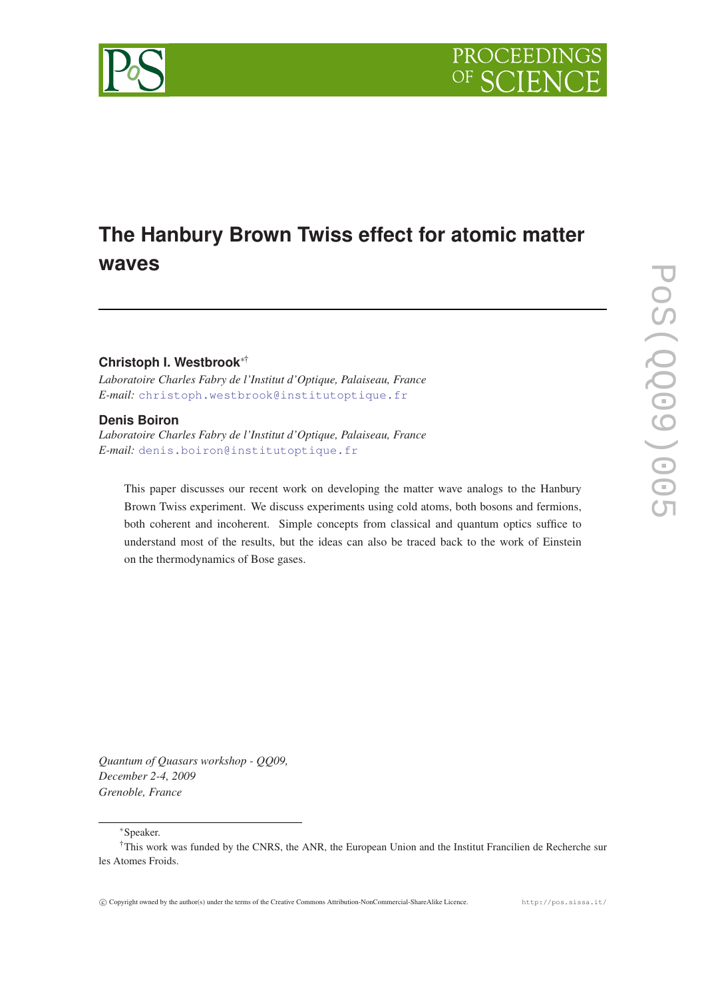



# **Christoph I. Westbrook**∗†

*Laboratoire Charles Fabry de l'Institut d'Optique, Palaiseau, France E-mail:* [christoph.westbrook@institutoptique.fr](mailto:christoph.westbrook@institutoptique.fr)

### **Denis Boiron**

*Laboratoire Charles Fabry de l'Institut d'Optique, Palaiseau, France E-mail:* [denis.boiron@institutoptique.fr](mailto:denis.boiron@institutoptique.fr)

This paper discusses our recent work on developing the matter wave analogs to the Hanbury Brown Twiss experiment. We discuss experiments using cold atoms, both bosons and fermions, both coherent and incoherent. Simple concepts from classical and quantum optics suffice to understand most of the results, but the ideas can also be traced back to the work of Einstein on the thermodynamics of Bose gases.

*Quantum of Quasars workshop - QQ09, December 2-4, 2009 Grenoble, France*

<sup>∗</sup>Speaker.



<sup>†</sup>This work was funded by the CNRS, the ANR, the European Union and the Institut Francilien de Recherche sur les Atomes Froids.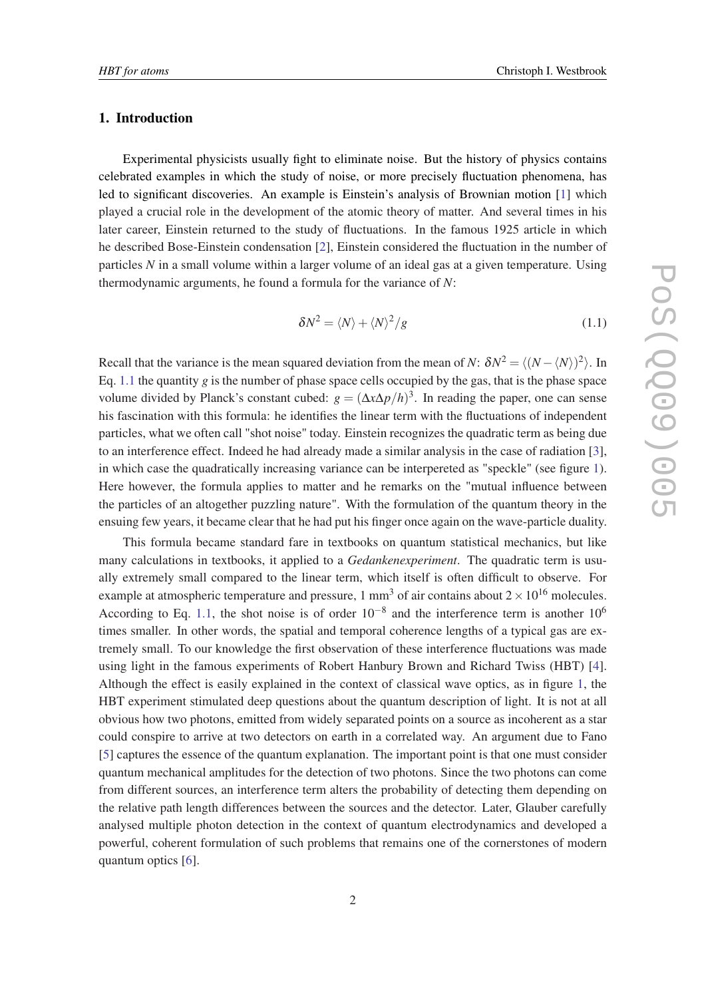### <span id="page-1-0"></span>1. Introduction

Experimental physicists usually fight to eliminate noise. But the history of physics contains celebrated examples in which the study of noise, or more precisely fluctuation phenomena, has led to significant discoveries. An example is Einstein's analysis of Brownian motion [\[1\]](#page-4-0) which played a crucial role in the development of the atomic theory of matter. And several times in his later career, Einstein returned to the study of fluctuations. In the famous 1925 article in which he described Bose-Einstein condensation [[2\]](#page-4-0), Einstein considered the fluctuation in the number of particles *N* in a small volume within a larger volume of an ideal gas at a given temperature. Using thermodynamic arguments, he found a formula for the variance of *N*:

$$
\delta N^2 = \langle N \rangle + \langle N \rangle^2 / g \tag{1.1}
$$

Recall that the variance is the mean squared deviation from the mean of *N*:  $\delta N^2 = \langle (N - \langle N \rangle)^2 \rangle$ . In Eq. 1.1 the quantity *g* is the number of phase space cells occupied by the gas, that is the phase space volume divided by Planck's constant cubed:  $g = (\Delta x \Delta p/h)^3$ . In reading the paper, one can sense his fascination with this formula: he identifies the linear term with the fluctuations of independent particles, what we often call "shot noise" today. Einstein recognizes the quadratic term as being due to an interference effect. Indeed he had already made a similar analysis in the case of radiation [\[3\]](#page-4-0), in which case the quadratically increasing variance can be interpereted as "speckle" (see figure [1\)](#page-2-0). Here however, the formula applies to matter and he remarks on the "mutual influence between the particles of an altogether puzzling nature". With the formulation of the quantum theory in the ensuing few years, it became clear that he had put his finger once again on the wave-particle duality.

This formula became standard fare in textbooks on quantum statistical mechanics, but like many calculations in textbooks, it applied to a *Gedankenexperiment*. The quadratic term is usually extremely small compared to the linear term, which itself is often difficult to observe. For example at atmospheric temperature and pressure, 1 mm<sup>3</sup> of air contains about  $2 \times 10^{16}$  molecules. According to Eq. 1.1, the shot noise is of order  $10^{-8}$  and the interference term is another  $10^6$ times smaller. In other words, the spatial and temporal coherence lengths of a typical gas are extremely small. To our knowledge the first observation of these interference fluctuations was made using light in the famous experiments of Robert Hanbury Brown and Richard Twiss (HBT) [\[4\]](#page-4-0). Although the effect is easily explained in the context of classical wave optics, as in figure [1](#page-2-0), the HBT experiment stimulated deep questions about the quantum description of light. It is not at all obvious how two photons, emitted from widely separated points on a source as incoherent as a star could conspire to arrive at two detectors on earth in a correlated way. An argument due to Fano [[5](#page-4-0)] captures the essence of the quantum explanation. The important point is that one must consider quantum mechanical amplitudes for the detection of two photons. Since the two photons can come from different sources, an interference term alters the probability of detecting them depending on the relative path length differences between the sources and the detector. Later, Glauber carefully analysed multiple photon detection in the context of quantum electrodynamics and developed a powerful, coherent formulation of such problems that remains one of the cornerstones of modern quantum optics [[6](#page-4-0)].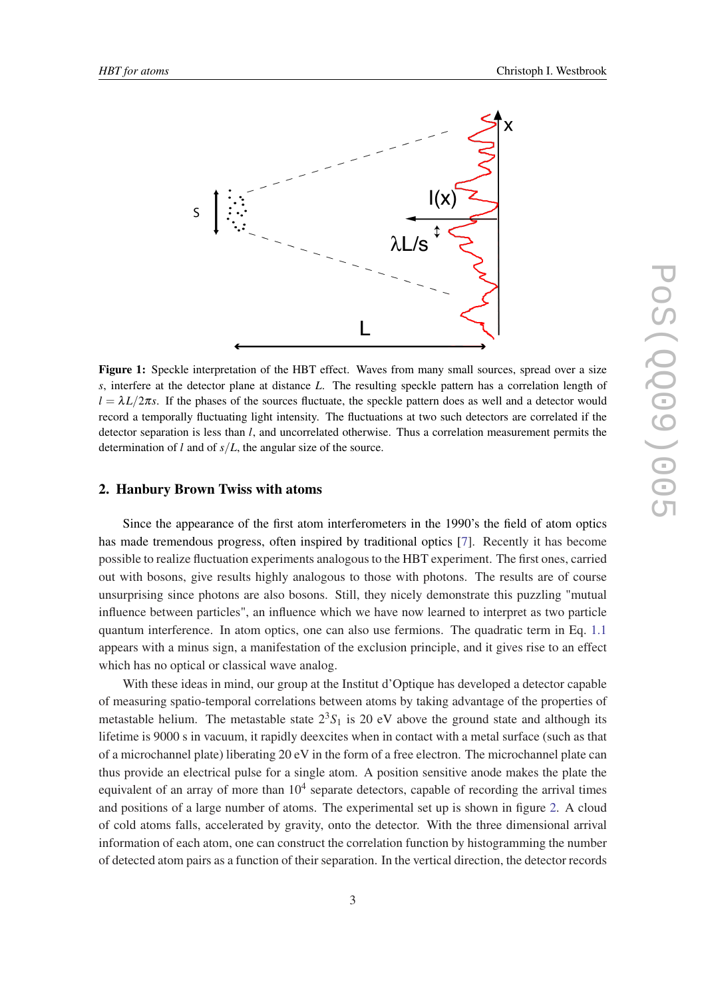<span id="page-2-0"></span>

Figure 1: Speckle interpretation of the HBT effect. Waves from many small sources, spread over a size *s*, interfere at the detector plane at distance *L*. The resulting speckle pattern has a correlation length of  $l = \lambda L/2\pi s$ . If the phases of the sources fluctuate, the speckle pattern does as well and a detector would record a temporally fluctuating light intensity. The fluctuations at two such detectors are correlated if the detector separation is less than *l*, and uncorrelated otherwise. Thus a correlation measurement permits the determination of *l* and of *s*/*L*, the angular size of the source.

## 2. Hanbury Brown Twiss with atoms

Since the appearance of the first atom interferometers in the 1990's the field of atom optics has made tremendous progress, often inspired by traditional optics [\[7\]](#page-4-0). Recently it has become possible to realize fluctuation experiments analogous to the HBT experiment. The first ones, carried out with bosons, give results highly analogous to those with photons. The results are of course unsurprising since photons are also bosons. Still, they nicely demonstrate this puzzling "mutual influence between particles", an influence which we have now learned to interpret as two particle quantum interference. In atom optics, one can also use fermions. The quadratic term in Eq. [1.1](#page-1-0) appears with a minus sign, a manifestation of the exclusion principle, and it gives rise to an effect which has no optical or classical wave analog.

With these ideas in mind, our group at the Institut d'Optique has developed a detector capable of measuring spatio-temporal correlations between atoms by taking advantage of the properties of metastable helium. The metastable state  $2<sup>3</sup>S<sub>1</sub>$  is 20 eV above the ground state and although its lifetime is 9000 s in vacuum, it rapidly deexcites when in contact with a metal surface (such as that of a microchannel plate) liberating 20 eV in the form of a free electron. The microchannel plate can thus provide an electrical pulse for a single atom. A position sensitive anode makes the plate the equivalent of an array of more than  $10<sup>4</sup>$  separate detectors, capable of recording the arrival times and positions of a large number of atoms. The experimental set up is shown in figure [2](#page-3-0). A cloud of cold atoms falls, accelerated by gravity, onto the detector. With the three dimensional arrival information of each atom, one can construct the correlation function by histogramming the number of detected atom pairs as a function of their separation. In the vertical direction, the detector records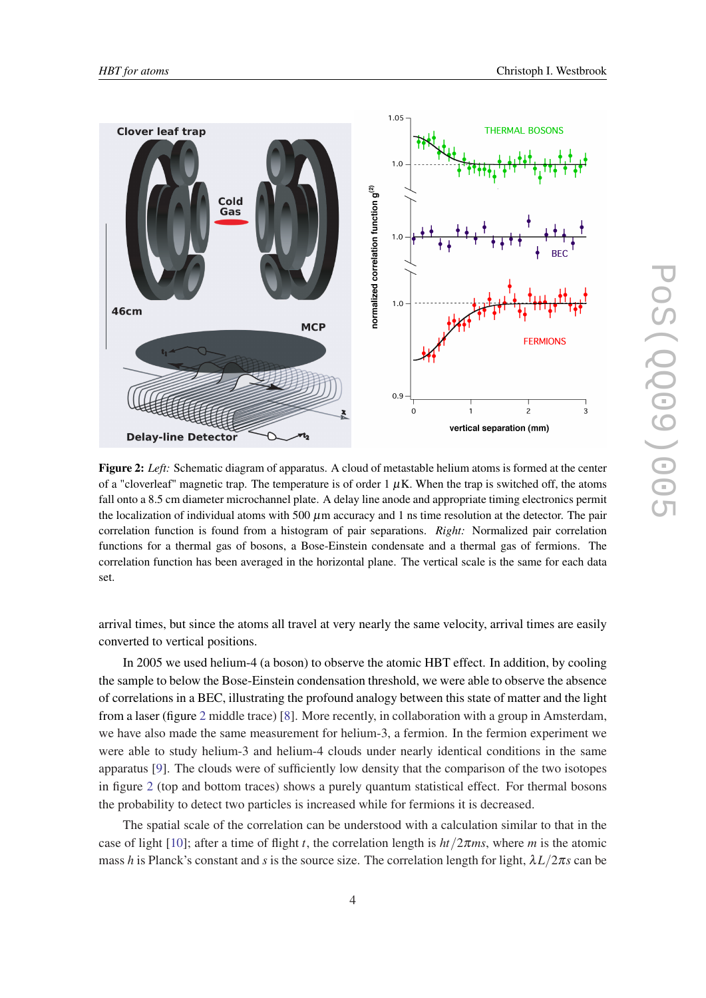<span id="page-3-0"></span>

Figure 2: *Left:* Schematic diagram of apparatus. A cloud of metastable helium atoms is formed at the center of a "cloverleaf" magnetic trap. The temperature is of order  $1 \mu K$ . When the trap is switched off, the atoms fall onto a 8.5 cm diameter microchannel plate. A delay line anode and appropriate timing electronics permit the localization of individual atoms with 500  $\mu$ m accuracy and 1 ns time resolution at the detector. The pair correlation function is found from a histogram of pair separations. *Right:* Normalized pair correlation functions for a thermal gas of bosons, a Bose-Einstein condensate and a thermal gas of fermions. The correlation function has been averaged in the horizontal plane. The vertical scale is the same for each data set.

arrival times, but since the atoms all travel at very nearly the same velocity, arrival times are easily converted to vertical positions.

In 2005 we used helium-4 (a boson) to observe the atomic HBT effect. In addition, by cooling the sample to below the Bose-Einstein condensation threshold, we were able to observe the absence of correlations in a BEC, illustrating the profound analogy between this state of matter and the light from a laser (figure 2 middle trace) [[8](#page-4-0)]. More recently, in collaboration with a group in Amsterdam, we have also made the same measurement for helium-3, a fermion. In the fermion experiment we were able to study helium-3 and helium-4 clouds under nearly identical conditions in the same apparatus [[9](#page-4-0)]. The clouds were of sufficiently low density that the comparison of the two isotopes in figure 2 (top and bottom traces) shows a purely quantum statistical effect. For thermal bosons the probability to detect two particles is increased while for fermions it is decreased.

The spatial scale of the correlation can be understood with a calculation similar to that in the case of light [[10](#page-5-0)]; after a time of flight *t*, the correlation length is *ht*/2π*ms*, where *m* is the atomic mass *h* is Planck's constant and *s* is the source size. The correlation length for light,  $\lambda L/2\pi s$  can be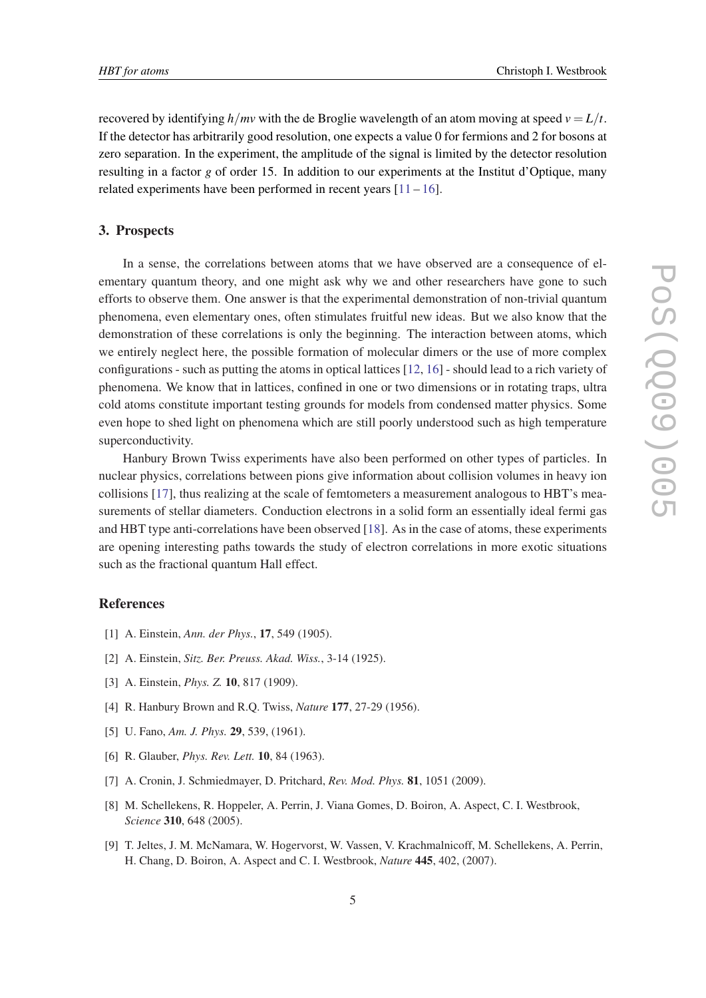<span id="page-4-0"></span>recovered by identifying  $h/mv$  with the de Broglie wavelength of an atom moving at speed  $v = L/t$ . If the detector has arbitrarily good resolution, one expects a value 0 for fermions and 2 for bosons at zero separation. In the experiment, the amplitude of the signal is limited by the detector resolution resulting in a factor *g* of order 15. In addition to our experiments at the Institut d'Optique, many related experiments have been performed in recent years  $[11 - 16]$  $[11 - 16]$  $[11 - 16]$ .

#### 3. Prospects

In a sense, the correlations between atoms that we have observed are a consequence of elementary quantum theory, and one might ask why we and other researchers have gone to such efforts to observe them. One answer is that the experimental demonstration of non-trivial quantum phenomena, even elementary ones, often stimulates fruitful new ideas. But we also know that the demonstration of these correlations is only the beginning. The interaction between atoms, which we entirely neglect here, the possible formation of molecular dimers or the use of more complex configurations - such as putting the atoms in optical lattices [[12](#page-5-0), [16](#page-5-0)] - should lead to a rich variety of phenomena. We know that in lattices, confined in one or two dimensions or in rotating traps, ultra cold atoms constitute important testing grounds for models from condensed matter physics. Some even hope to shed light on phenomena which are still poorly understood such as high temperature superconductivity.

Hanbury Brown Twiss experiments have also been performed on other types of particles. In nuclear physics, correlations between pions give information about collision volumes in heavy ion collisions [\[17](#page-5-0)], thus realizing at the scale of femtometers a measurement analogous to HBT's measurements of stellar diameters. Conduction electrons in a solid form an essentially ideal fermi gas and HBT type anti-correlations have been observed [\[18\]](#page-5-0). As in the case of atoms, these experiments are opening interesting paths towards the study of electron correlations in more exotic situations such as the fractional quantum Hall effect.

### References

- [1] A. Einstein, *Ann. der Phys.*, 17, 549 (1905).
- [2] A. Einstein, *Sitz. Ber. Preuss. Akad. Wiss.*, 3-14 (1925).
- [3] A. Einstein, *Phys. Z.* 10, 817 (1909).
- [4] R. Hanbury Brown and R.Q. Twiss, *Nature* 177, 27-29 (1956).
- [5] U. Fano, *Am. J. Phys.* 29, 539, (1961).
- [6] R. Glauber, *Phys. Rev. Lett.* 10, 84 (1963).
- [7] A. Cronin, J. Schmiedmayer, D. Pritchard, *Rev. Mod. Phys.* 81, 1051 (2009).
- [8] M. Schellekens, R. Hoppeler, A. Perrin, J. Viana Gomes, D. Boiron, A. Aspect, C. I. Westbrook, *Science* 310, 648 (2005).
- [9] T. Jeltes, J. M. McNamara, W. Hogervorst, W. Vassen, V. Krachmalnicoff, M. Schellekens, A. Perrin, H. Chang, D. Boiron, A. Aspect and C. I. Westbrook, *Nature* 445, 402, (2007).